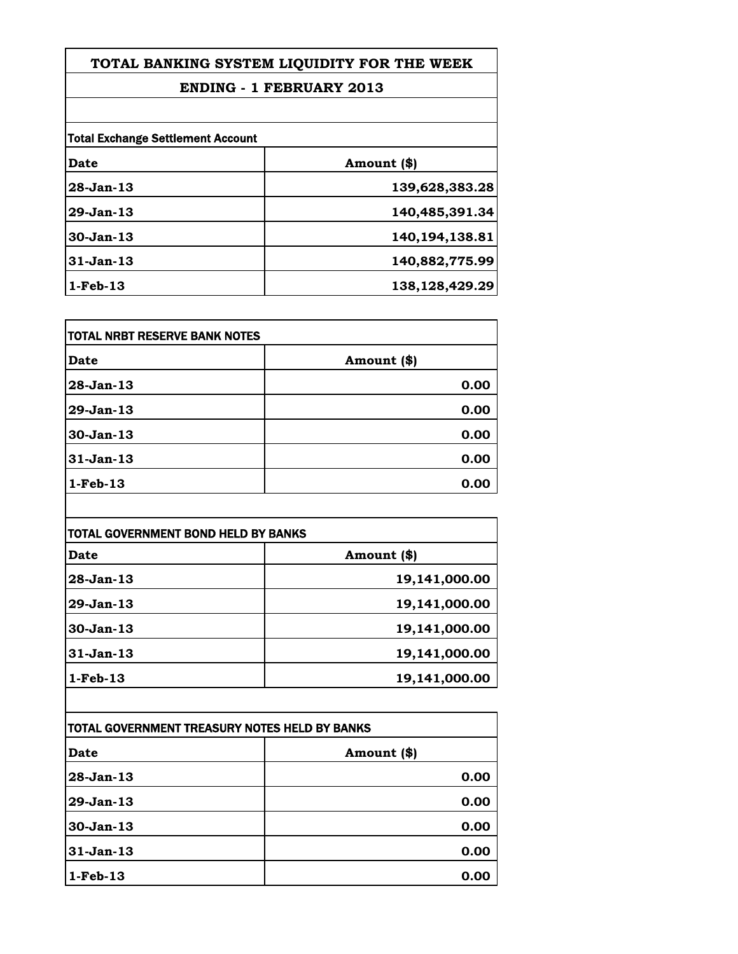### **ENDING - 1 FEBRUARY 2013**

| <b>Total Exchange Settlement Account</b> |                   |
|------------------------------------------|-------------------|
| Date                                     | Amount (\$)       |
| 28-Jan-13                                | 139,628,383.28    |
| 29-Jan-13                                | 140,485,391.34    |
| 30-Jan-13                                | 140,194,138.81    |
| $31-Jan-13$                              | 140,882,775.99    |
| $1-Feb-13$                               | 138, 128, 429. 29 |

| TOTAL NRBT RESERVE BANK NOTES |             |
|-------------------------------|-------------|
| Date                          | Amount (\$) |
| 28-Jan-13                     | 0.00        |
| 29-Jan-13                     | 0.00        |
| 30-Jan-13                     | 0.00        |
| $31-Jan-13$                   | 0.00        |
| $1-Feb-13$                    | 0.00        |

| TOTAL GOVERNMENT BOND HELD BY BANKS |               |
|-------------------------------------|---------------|
| Date                                | Amount (\$)   |
| 28-Jan-13                           | 19,141,000.00 |
| 29-Jan-13                           | 19,141,000.00 |
| 30-Jan-13                           | 19,141,000.00 |
| 31-Jan-13                           | 19,141,000.00 |
| $1-Feb-13$                          | 19,141,000.00 |

| TOTAL GOVERNMENT TREASURY NOTES HELD BY BANKS |             |
|-----------------------------------------------|-------------|
| Date                                          | Amount (\$) |
| 28-Jan-13                                     | 0.00        |
| 29-Jan-13                                     | 0.00        |
| $30-Jan-13$                                   | 0.00        |
| 31-Jan-13                                     | 0.00        |
| $1-Feb-13$                                    | 0.00        |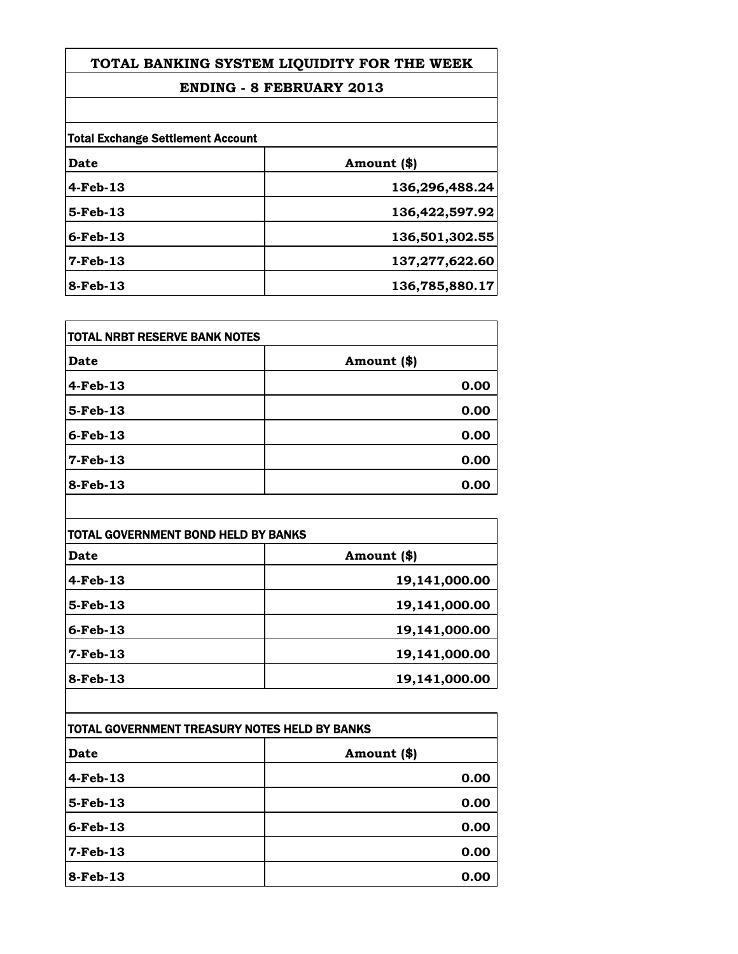### **ENDING - 8 FEBRUARY 2013**

|             | <b>Total Exchange Settlement Account</b> |  |
|-------------|------------------------------------------|--|
| Date        | Amount (\$)                              |  |
| $4-Feb-13$  | 136,296,488.24                           |  |
| 5-Feb-13    | 136,422,597.92                           |  |
| $6$ -Feb-13 | 136,501,302.55                           |  |
| 7-Feb-13    | 137,277,622.60                           |  |
| 8-Feb-13    | 136,785,880.17                           |  |

| <b>TOTAL NRBT RESERVE BANK NOTES</b> |             |
|--------------------------------------|-------------|
| Date                                 | Amount (\$) |
| $4$ -Feb-13                          | 0.00        |
| 5-Feb-13                             | 0.00        |
| $6$ -Feb-13                          | 0.00        |
| $7$ -Feb-13                          | 0.00        |
| $8$ -Feb-13                          | 0.00        |

| TOTAL GOVERNMENT BOND HELD BY BANKS |               |
|-------------------------------------|---------------|
| <b>Date</b>                         | Amount (\$)   |
| $4$ -Feb-13                         | 19,141,000.00 |
| 5-Feb-13                            | 19,141,000.00 |
| $6$ -Feb-13                         | 19,141,000.00 |
| $7$ -Feb-13                         | 19,141,000.00 |
| $8$ -Feb-13                         | 19,141,000.00 |

| TOTAL GOVERNMENT TREASURY NOTES HELD BY BANKS |             |
|-----------------------------------------------|-------------|
| Date                                          | Amount (\$) |
| $4-Feb-13$                                    | 0.00        |
| $5-Feb-13$                                    | 0.00        |
| $6$ -Feb-13                                   | 0.00        |
| $7$ -Feb-13                                   | 0.00        |
| 8-Feb-13                                      | 0.00        |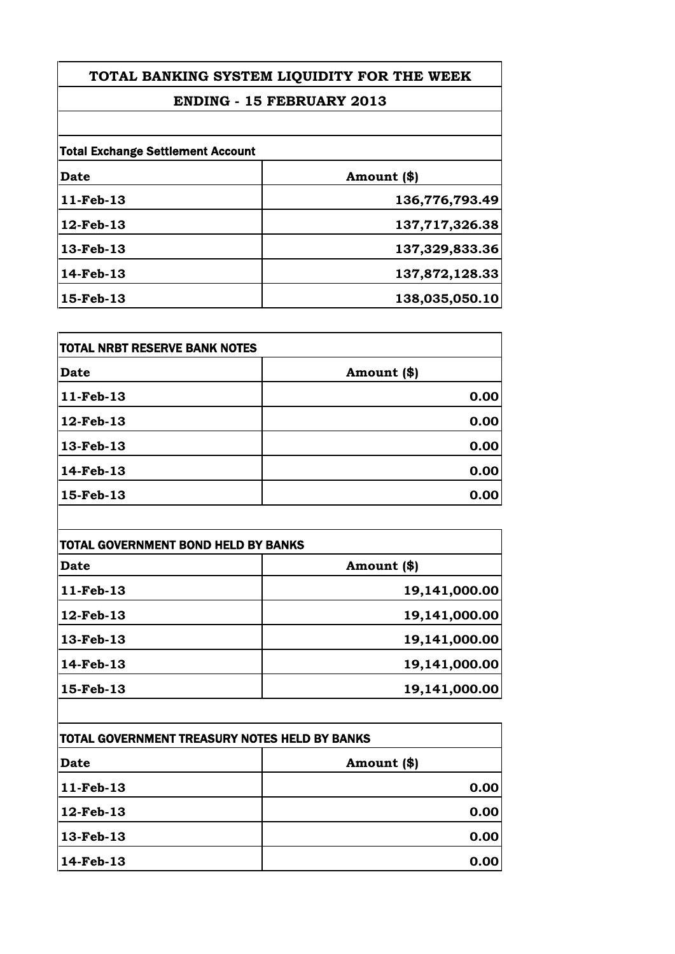# **ENDING - 15 FEBRUARY 2013**

| <b>Total Exchange Settlement Account</b> |                |
|------------------------------------------|----------------|
| Date                                     | Amount (\$)    |
| 11-Feb-13                                | 136,776,793.49 |
| 12-Feb-13                                | 137,717,326.38 |
| 13-Feb-13                                | 137,329,833.36 |
| 14-Feb-13                                | 137,872,128.33 |
| 15-Feb-13                                | 138,035,050.10 |

| TOTAL NRBT RESERVE BANK NOTES |             |
|-------------------------------|-------------|
| <b>Date</b>                   | Amount (\$) |
| $ 11$ -Feb-13                 | 0.00        |
| $12$ -Feb-13                  | 0.00        |
| $13$ -Feb-13                  | 0.00        |
| $ 14$ -Feb-13                 | 0.00        |
| $15$ -Feb-13                  | 0.00        |
|                               |             |

| TOTAL GOVERNMENT BOND HELD BY BANKS |               |
|-------------------------------------|---------------|
| Date                                | Amount (\$)   |
| 11-Feb-13                           | 19,141,000.00 |
| 12-Feb-13                           | 19,141,000.00 |
| 13-Feb-13                           | 19,141,000.00 |
| 14-Feb-13                           | 19,141,000.00 |
| 15-Feb-13                           | 19,141,000.00 |

| <b>TOTAL GOVERNMENT TREASURY NOTES HELD BY BANKS</b> |               |
|------------------------------------------------------|---------------|
| <b>Date</b>                                          | Amount $(\$)$ |
| 11-Feb-13                                            | 0.00          |
| 12-Feb-13                                            | 0.00          |
| 13-Feb-13                                            | 0.00          |
| 14-Feb-13                                            | 0.00          |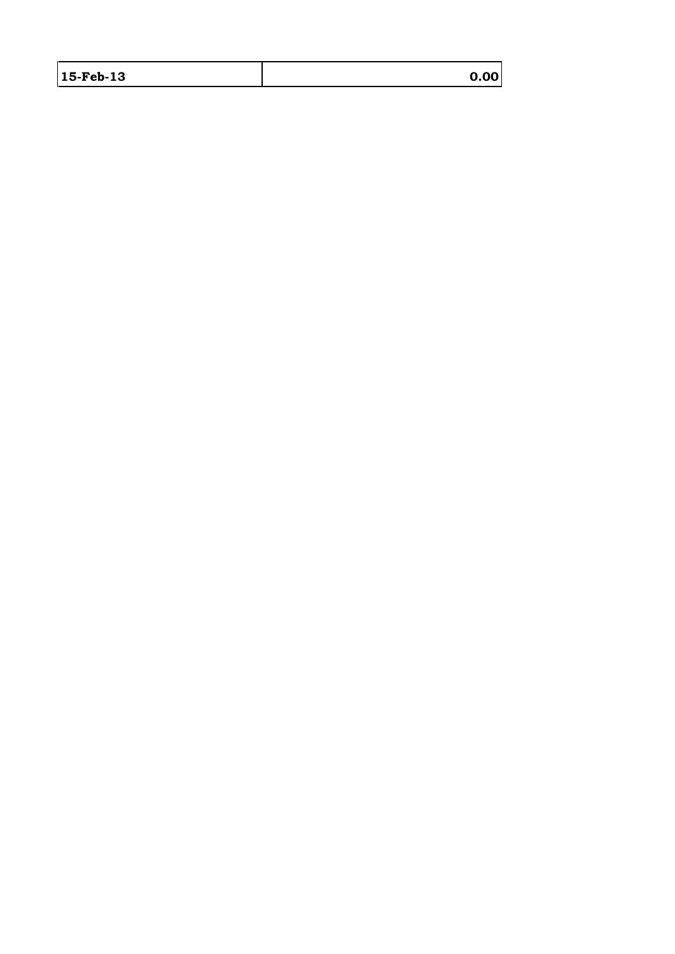| 15-Feb-13 | 0.00 |
|-----------|------|
|           |      |